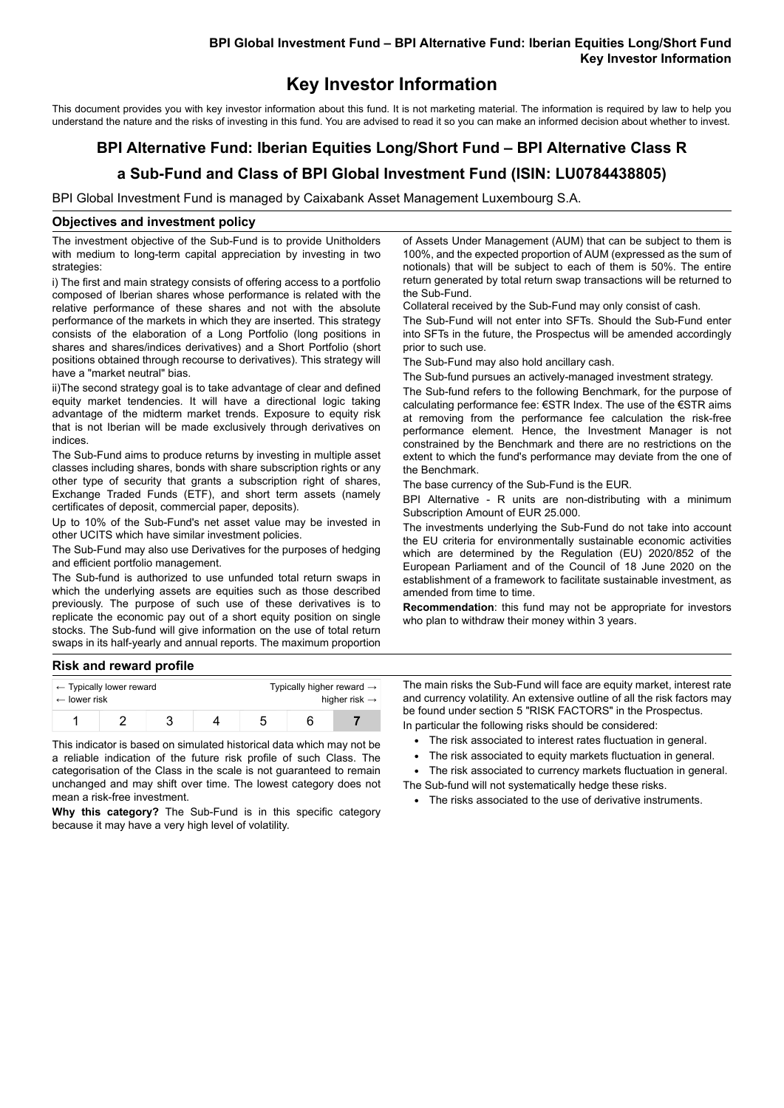# **BPI Global Investment Fund – BPI Alternative Fund: Iberian Equities Long/Short Fund Key Investor Information**

# **Key Investor Information**

This document provides you with key investor information about this fund. It is not marketing material. The information is required by law to help you understand the nature and the risks of investing in this fund. You are advised to read it so you can make an informed decision about whether to invest.

# **BPI Alternative Fund: Iberian Equities Long/Short Fund – BPI Alternative Class R**

# **a Sub-Fund and Class of BPI Global Investment Fund (ISIN: LU0784438805)**

BPI Global Investment Fund is managed by Caixabank Asset Management Luxembourg S.A.

#### **Objectives and investment policy**

The investment objective of the Sub-Fund is to provide Unitholders with medium to long-term capital appreciation by investing in two strategies:

i) The first and main strategy consists of offering access to a portfolio composed of Iberian shares whose performance is related with the relative performance of these shares and not with the absolute performance of the markets in which they are inserted. This strategy consists of the elaboration of a Long Portfolio (long positions in shares and shares/indices derivatives) and a Short Portfolio (short positions obtained through recourse to derivatives). This strategy will have a "market neutral" bias.

ii)The second strategy goal is to take advantage of clear and defined equity market tendencies. It will have a directional logic taking advantage of the midterm market trends. Exposure to equity risk that is not Iberian will be made exclusively through derivatives on indices.

The Sub-Fund aims to produce returns by investing in multiple asset classes including shares, bonds with share subscription rights or any other type of security that grants a subscription right of shares, Exchange Traded Funds (ETF), and short term assets (namely certificates of deposit, commercial paper, deposits).

Up to 10% of the Sub-Fund's net asset value may be invested in other UCITS which have similar investment policies.

The Sub-Fund may also use Derivatives for the purposes of hedging and efficient portfolio management.

The Sub-fund is authorized to use unfunded total return swaps in which the underlying assets are equities such as those described previously. The purpose of such use of these derivatives is to replicate the economic pay out of a short equity position on single stocks. The Sub-fund will give information on the use of total return swaps in its half-yearly and annual reports. The maximum proportion

of Assets Under Management (AUM) that can be subject to them is 100%, and the expected proportion of AUM (expressed as the sum of notionals) that will be subject to each of them is 50%. The entire return generated by total return swap transactions will be returned to the Sub-Fund.

Collateral received by the Sub-Fund may only consist of cash.

The Sub-Fund will not enter into SFTs. Should the Sub-Fund enter into SFTs in the future, the Prospectus will be amended accordingly prior to such use.

The Sub-Fund may also hold ancillary cash.

The Sub-fund pursues an actively-managed investment strategy.

The Sub-fund refers to the following Benchmark, for the purpose of calculating performance fee: €STR Index. The use of the €STR aims at removing from the performance fee calculation the risk-free performance element. Hence, the Investment Manager is not constrained by the Benchmark and there are no restrictions on the extent to which the fund's performance may deviate from the one of the Benchmark.

The base currency of the Sub-Fund is the EUR.

BPI Alternative - R units are non-distributing with a minimum Subscription Amount of EUR 25.000.

The investments underlying the Sub-Fund do not take into account the EU criteria for environmentally sustainable economic activities which are determined by the Regulation (EU) 2020/852 of the European Parliament and of the Council of 18 June 2020 on the establishment of a framework to facilitate sustainable investment, as amended from time to time.

**Recommendation**: this fund may not be appropriate for investors who plan to withdraw their money within 3 years.

## **Risk and reward profile**

| $\leftarrow$ Typically lower reward |  |  |  | Typically higher reward $\rightarrow$ |  |  |  |
|-------------------------------------|--|--|--|---------------------------------------|--|--|--|
| $\leftarrow$ lower risk             |  |  |  | higher risk $\rightarrow$             |  |  |  |
|                                     |  |  |  |                                       |  |  |  |

This indicator is based on simulated historical data which may not be a reliable indication of the future risk profile of such Class. The categorisation of the Class in the scale is not guaranteed to remain unchanged and may shift over time. The lowest category does not mean a risk-free investment.

**Why this category?** The Sub-Fund is in this specific category because it may have a very high level of volatility.

The main risks the Sub-Fund will face are equity market, interest rate and currency volatility. An extensive outline of all the risk factors may be found under section 5 "RISK FACTORS" in the Prospectus.

In particular the following risks should be considered:

- The risk associated to interest rates fluctuation in general.
- The risk associated to equity markets fluctuation in general.
- The risk associated to currency markets fluctuation in general. The Sub-fund will not systematically hedge these risks.
	- The risks associated to the use of derivative instruments.